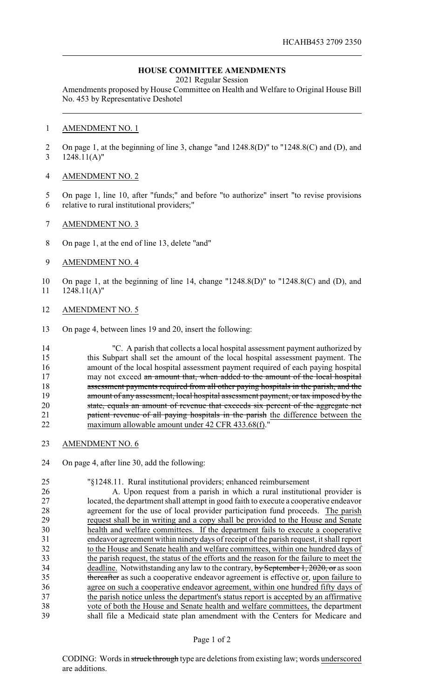## **HOUSE COMMITTEE AMENDMENTS**

2021 Regular Session

Amendments proposed by House Committee on Health and Welfare to Original House Bill No. 453 by Representative Deshotel

## AMENDMENT NO. 1

 On page 1, at the beginning of line 3, change "and 1248.8(D)" to "1248.8(C) and (D), and 1248.11(A)"

## AMENDMENT NO. 2

- On page 1, line 10, after "funds;" and before "to authorize" insert "to revise provisions relative to rural institutional providers;"
- AMENDMENT NO. 3
- On page 1, at the end of line 13, delete "and"
- AMENDMENT NO. 4
- On page 1, at the beginning of line 14, change "1248.8(D)" to "1248.8(C) and (D), and 1248.11(A)"
- AMENDMENT NO. 5
- On page 4, between lines 19 and 20, insert the following:

 "C. A parish that collects a local hospital assessment payment authorized by this Subpart shall set the amount of the local hospital assessment payment. The amount of the local hospital assessment payment required of each paying hospital 17 may not exceed an amount that, when added to the amount of the local hospital 18 assessment payments required from all other paying hospitals in the parish, and the 19 amount of any assessment, local hospital assessment payment, or tax imposed by the state, equals an amount of revenue that exceeds six percent of the aggregate net **patient revenue of all paying hospitals in the parish** the difference between the maximum allowable amount under 42 CFR 433.68(f)."

- AMENDMENT NO. 6
- On page 4, after line 30, add the following:

 "§1248.11. Rural institutional providers; enhanced reimbursement A. Upon request from a parish in which a rural institutional provider is located, the department shall attempt in good faith to execute a cooperative endeavor 28 agreement for the use of local provider participation fund proceeds. The parish request shall be in writing and a copy shall be provided to the House and Senate request shall be in writing and a copy shall be provided to the House and Senate health and welfare committees. If the department fails to execute a cooperative endeavor agreement within ninety days of receipt of the parish request, it shall report to the House and Senate health and welfare committees, within one hundred days of the parish request, the status of the efforts and the reason for the failure to meet the 34 deadline. Notwithstanding any law to the contrary, by September 1, 2020, or as soon 35 thereafter as such a cooperative endeavor agreement is effective or, upon failure to agree on such a cooperative endeavor agreement, within one hundred fifty days of 37 the parish notice unless the department's status report is accepted by an affirmative vote of both the House and Senate health and welfare committees, the department shall file a Medicaid state plan amendment with the Centers for Medicare and

## Page 1 of 2